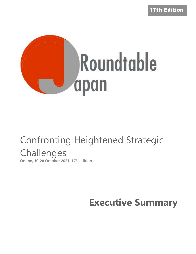17th Edition



# Confronting Heightened Strategic **Challenges**

**Online, 19-20 October 2021, 17 th edition**

**Executive Summary**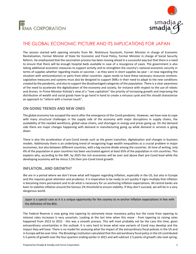



## THE GLOBAL ECONOMIC PICTURE AND ITS IMPLICATIONS FOR JAPAN

The session started with opening remarks from Mr. Nishimura Yasutoshi, Former Minister in charge of Economic Revitalization, Former Minister of State for Economic and Fiscal Policy, Former Minister in charge of Social Security Reform. He emphasized that the vaccination process has been moving ahead in a successful way but that there is a need to ensure that there will be enough hospital beds available in case of a resurgence of cases. The government is also taking additional economic measures to support activity and to strengthen the country's national economic security in terms of supplies whether regarding masks or vaccines – as they were in short supplies las year – or now regarding the situation with semiconductors or parts from other countries. Japan needs to have these necessary resources onshore. Legislative measures and systems must also be designed to support SMEs in their need to adapt to the new conditions created by the pandemic, and also to support the disadvantaged categories of the population. There is a clear awareness of the need to accelerate the digitalization of the economy and society, for instance with respect to the use of robots and drones. In Prime Minister Kishida's view of a "new capitalism" the priority of increasing growth and improving the distribution of wealth and social goods have to go hand in hand to create a virtuous cycle and this should characterize an approach to "reform with a human touch".

#### **ON GOING TRENDS AND NEW ONES**

The global economy has escaped the worst after the emergence of the Covid pandemic. However, we have now to cope with many structural challenges in the supply side of the economy with major disruptions in supply chains, the availability of the needed workforce, global value chains, and shortages in energy and prices going up. On the demand side there are major changes happening with demand in manufacturing going up while demand in services is going down.

There is also the acceleration of pre-Covid trends such as the green transition, digitalization and changes in business models. Additionaly there is an underlying trend of recognizing huge wealth inequalities as a crucial problem in major economies, but also between different countries, with a big vaccine divide among the countries. At time of writing, only 4% of the population in poor countries has been vaccinated against at least 65% of the population in rich countries. This explains why, according to the IMF, by 2025 the rich economies will be over and above their pre-Covid level while the developing economy will be minus 5.5% their pre-Covid trend growth.

#### **INFLATION…AND GROWTH?**

We are in a period where we don't know what will happen regarding inflation, especially in the US, but also in Europe and this requires great attention and prudence. It is imperative to be ready to act quickly if signs multiply that inflation is becoming more permanent and to do what is necessary for un-anchoring inflation expectations. All central banks are keen to stabilize inflation around the famous 2% threshold to ensure stability. If they don't succeed, we will be in a very dangerous world.

Japan is a special case as it is a unique opportunity for the country to re-anchor inflation expectations in line with the definition of the BOJ.

The Federal Reserve is now going into tapering its extremely loose monetary policy but the route from tapering to interest rates increases is very uncertain. Looking at the last time when this move - from tapering to raising rates happened from 2013 to 2015 - this was a smooth process. This will most probably not be the case this time, given extraordinary uncertainties in the outlook. It is very hard to know what new variants of Covid may develop and the impact they will have. There is no model for assessing what the impact of the extraordinary fiscal policies in the US and in Europe will be over time. The Brookings institution calculated that this extraordinary fiscal policy in the US contributed 5.5 points of growth over the four quarters ending earlier in 2021 and will subtract 2.5 points of growth rate next spring.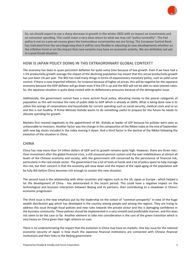

So, we should expect to see a sharp decrease in growth in the winter 2022 with an impact on investments and on consumer spending. This could mean a very slow return to what we may call "policy normality". The Fed policy is not on a pre-set course given the tremendous uncertainties we are facing. The European Central Bank has indicated from the very beginning that it will be very flexible in adjusting to new developments whether on the inflation front or on the impact that new variants may have on economic activity. We are definitely not yet in a post-Covid situation.

### **HOW IS JAPAN POLICY DOING IN THIS EXTRAORDINARY GLOBAL CONTEXT?**

The economy has been in quasi persistent deflation for quite some time because of low growth. Even if we have had a 1.5% productivity growth average the impact of the declining population has meant that this actual productivity growth has just been 1% per year. The BOJ has tried many things in terms of expansionary monetary policy, such as yield curve control. If there is now imported inflation, for instance because of higher oil prices, this will be negative for the Japanese economy because the GDP deflator will go down even if the CPI is up and the BOJ will not be able to raise interest rates. So, the Japanese situation is quite deep-rooted with its deflationary pressures because of the demographic issue.

Additionally, the government cannot have a more activist fiscal policy, allocating money to the poorer categories of population as this will increase the ratio of public debt to GDP which is already at 260%. What is being done now is to utilize the savings of corporations and households for current spending such as social security, medical costs and so on and this is not healthy. If Prime Minister Kishida wants to do something useful to prepare for the future he needs to allocate spending for growth.

Markets first reacted negatively to the appointment of Mr. Kishida as leader of LDP because his policies were seen as unfavorable to investors. Another factor was the change in the composition of the Nikkei index at the end of September with new big stocks included in the index moving it down. And a third factor in the decline of the Nikkei following the evolution of the situation in China.

### **CHINA**

China has now more than 14 trillion dollars of GDP and its growth remains quite high. However, there are three risks: Over-investment after the global financial crisis, a still unsound pension system and the over-indebtedness at almost all levels of the Chinese economy and society, with the government still concerned by the persistence of financial risk, particularly in the real-estate sector. The government has a lot of tools at hands and a lot of policy space to help manage this risk, but their concern is that the economy will slow down and the impact of the rapid aging of the population will be fully felt before China becomes rich enough to sustain this new situation.

The second issue is the relationship with other countries and regions such as the US, Japan or Europe - which helped a lot the development of China - has deteriorated in the recent period. This could have a negative impact on the technological and business interaction between Beijing and its partners, then contributing to a slowdown in China's economic progression.

The third issue is the new emphasis put by the leadership on the notion of "common prosperity" in view of the huge wealth distribution gap which has developed in the country among people and among the regions. They are trying to address this issue through fiscal policies and new rules towards the private sector and this is damaging confidence in the business community. These policies should be implemented in a very smooth and predictable manner, and this does not seem to be the case so far. Another element to take into consideration is the cost of the green transition which is very heavy on China given their high reliance on coal.

There is no underestimating the impact that the evolution in China may have on markets. One key issue for the national economic security of Japan is how much the Japanese financial institutions are connected with Chinese financial institutions and their links to the Beijing government.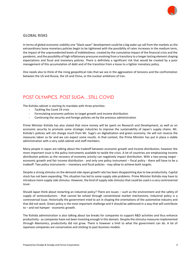

#### **GLOBAL RISKS**

In terms of global economic stability one "black swan" development could be a big wake-up call from the markets as the extraordinary loose monetary policies begin to be tightened with the possibility of rates increases in the medium term, the impact of the unprecedented levels of indebtedness created by the cumulative impact of the financial crisis and the pandemic, and the possibility of high inflationary pressures evolving from a transitory to a longer lasting element shaping expectations and fiscal and monetary policies. There is definitely a significant risk that would be created by a poor management of this accumulation of debt and of the transition from a loose to a tighter monetary policy.

One needs also to think of the rising geopolitical risks that we see in the aggravation of tensions and the confrontation between the US and Russia, the US and China, or the nuclear ambitions of Iran.

## POST OLYMPICS, POST SUGA…STILL COVID

The Kishida cabinet is starting its mandate with three priorities:

- Tackling the Covid 19 crisis
- Formulating economic policies to target growth and income distribution
- Continuing the security and foreign policies set by the previous administration

Prime Minister Kishida has also stated that more money will be spent on Research and Development, as well as on economic security to promote some strategic industries to improve the sustainability of Japan's supply chains. Mr. Kishida's policies will not change much from Mr. Suga's on digitalization and green economy. He will not reverse the measures taken so far and we can expect some results. In that context, the Prime Minister has put in place a stable administration with a very solid cabinet and staff members.

Many people in Japan are talking about the tradeoff between economic growth and income distribution, however the more important issue is the policy instruments available to tackle the crisis. A lot of countries are emphasizing income distribution policies as the recovery of economy activity can negatively impact distribution. With a two-prong target economic growth and fair income distribution - and only one policy instrument – fiscal policy - there will have to be a tradeoff. Two policy instruments – monetary and fiscal policies - may allow to achieve both targets.

Despite a strong stimulus on the demand side Japan growth rate has been disappointing due to low productivity. Capital stock has not been expanding. This situation has led to some supply side problems. Prime Minister Kishida may have to introduce more supply side stimulus. However, the kind of supply side stimulus that could be used is a very controversial issue.

Should Japan think about restarting an industrial policy? There are issues – such as the environment and the safety of supply of semiconductors - that cannot be solved through conventional market mechanisms. Industrial policy is a controversial issue. Historically the government tried to act in shaping the orientations of the automotive industry and that did not work. Green policy is the most important challenge and it should be addressed in a way that will contribute to – and not hamper - economic growth.

The Kishida administration is also talking about tax breaks for companies to support R&D activities and thus enhance productivity - as companies have not been investing enough in this domain. Despite the stimulus measures implemented through Abenomics, productivity did not grow. There is however a limit to what the government can do. A lot of Japanese companies are conservative and sticking to past business models.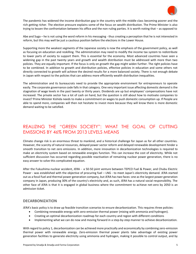

The pandemic has widened the income distribution gap in the country with the middle class becoming poorer and the rich getting richer. The election pressure explains some of the focus on wealth distribution. The Prime Minister is also trying to lessen the confrontation between his office and the non-ruling parties. It is worth noting that – as opposed to

Abe and Suga – he is not using the word reform in his messaging - thus creating a perception that he is not interested in reform, but this may well be just a cautious position before the elections in the Lower House.

Supporting more the weakest segments of the Japanese society is now the emphasis of the government policy, as well as focusing on education and reskilling. The administration may need to modify the income tax system to redistribute to lower parts of society to support them. This is essential for the economy. Most advanced countries have seen a widening gap in the past twenty years and growth and wealth distribution must be addressed with more than two policies. They are equally important. If the focus is only on growth the gap might widen further. The right policies have to be combined. In addition to growth and distribution policies, effective policies in education and some others not directly connected to growth will achieve the desired results for a more balanced society. There is not enough debate in Japan with respect to the policies that can address more efficiently wealth distribution inequalities.

The administration and its bureaucrats need to provide the appropriate environment for entrepreneurs to operate easily. The corporate governance code falls in that category. One very important issue affecting domestic demand is the stagnation of wage levels in the past twenty or thirty years. Dividends are up but employees' compensations have not increased. The private sector has a lot of cash on hand, but the question is still about how to motivate companies to invest? Prime Minister Kishida needs to make a commitment on wages to push domestic consumption up. If People are able to spend more, companies will then not hesitate to invest more because they will know there is more domestic demand waiting to be satisfied.

## REALIZING THE "GREEN SOCIETY": WHAT THE GOAL OF CUTTING EMISSIONS BY 46% FROM 2013 LEVELS MEANS

Climate change risk is an enormous threat to mankind, and a historical challenge for Japan as for all other countries. However, the scarcity of natural resources, delayed power sector reform and delayed renewable development hinder a smooth transition to net zero emissions. In addition, more innovation in decarbonization technologies is required to make an electricity system based on renewable energies function. This can increase the cost of electricity. While not sufficient discussion has occurred regarding possible reactivation of remaining nuclear power generation, there is no easy answer to solve this complicated equation.

After the Fukushima nuclear accident, JERA - a 50-50 joint venture between TEPCO Fuel & Power, and Chubu Electric Power - was established with the objective of procuring fuel – LNG - to meet Japan's electricity demand. JERA started out as a fossil fuel and thermal power generation company, but JERA has two faces: one as the largest power generation company in Japan, producing 30% of the country's electricity and, as such, JERA has a natural social responsibility. The other face of JERA is that it is engaged in global business where the commitment to achieve net-zero by 2050 is an admission ticket.

### **DECARBONIZATION**

JERA's basic policy is to draw up feasible transition scenarios to ensure decarbonization. This requires three policies:

- Combining renewable energy with zero-emission thermal power (mixing with ammonia and hydrogen).
- Creating an optimal decarbonization roadmap for each country and region with different conditions
- Implementing what we can do now and moving forward in a step-by-step manner to achieve decarbonization.

With regard to policy 1, decarbonization can be achieved more practically and economically by combining zero-emission thermal power with renewable energy. Zero-emission thermal power plants take advantage of existing power generation facilities to generate electricity using ammonia and hydrogen, making it possible to control output, and by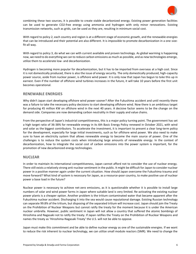

combining these two sources, it is possible to create stable decarbonized energy. Existing power generation facilities can be used to generate CO2-free energy using ammonia and hydrogen with only minor renovations. Existing transmission networks, such as grids, can be used as they are, resulting in minimum social cost.

With regard to policy 2, each country and region is at a different stage of economic growth, and the renewable energies that can be introduced and their potential are also different. It is impossible to promote decarbonization in a one-sizefit-all way.

With regard to policy 3, do what we can with current available and proven technology. As global warming is happening now, we need to do everything we can to reduce carbon emissions as much as possible, and as new technologies emerge, utilize them to accelerate low- and decarbonization.

Hydrogen is becoming more popular for decarbonization, but it has to be imported from overseas at a high cost. Since it is not domestically produced, there is also the issue of energy security. The only domestically produced, high-capacity power source, aside from nuclear power, is offshore wind power. It is only now that Japan has begun to take this up in earnest. Even if the number of offshore wind turbines increases in the future, it will take 10 years before the first unit becomes operational.

#### **RENEWABLE ENERGIES**

Why didn't Japan start developing offshore wind power sooner? After the Fukushima accident and until recently there was a failure to take the necessary policy decisions to start developing offshore wind. Now there is an ambitious target for producing 45 million KW on offshore wind in the next 40 years. A decisive factor seems to be the change on the demand side. Companies are now demanding carbon neutrality in their supply and value chains.

From the perspective of Japan's industrial competitiveness, this is a major policy turning point. The government has set a high target ratio of 36-38% for renewable energy in its 6th Basic Energy Policy renewed in October 2021, with wind and solar as the biggest contributors. To accelerate the investment, it is important to present a clear long-term policy for the development, especially for large initial investments, such as for offshore wind power. We also need to make sure to have an electricity system that allows renewable energy to become the main source of power. One of the challenges is to reduce the system costs when introducing large amounts of renewable energy. In the context of decarbonization, how to integrate the social cost of carbon emissions into the power system is important, for the promotion of new decarbonized energy technologies.

#### **NUCLEAR**

In order to maintain its international competitiveness, Japan cannot afford not to consider the use of nuclear energy. There still exists a relatively strong anti-nuclear sentiment in the public. It might be difficult for Japan to consider nuclear power in a positive manner again under the current situation. How should Japan overcome the Fukushima trauma and move forward? What kind of system is necessary for Japan, as a resource-poor country, to make positive use of nuclear power a base load in the future?

Nuclear power is necessary to achieve net-zero emissions, as it is questionable whether it is possible to install large numbers of solar and wind power farms in Japan where suitable land is very limited. Re-activating the existing nuclear power plants is a cheaper option. Another problem is the tritium contaminated water that became apparent after the Fukushima nuclear accident. Discharging it into the sea would cause reputational damage. Existing Russian technology can separate 99.8% of the tritium, but disposing of the separated tritium will increase cost. Japan should join the Treaty on the Prohibition of Nuclear Weapons but cannot ratify the treaty for the moment because it is under the American nuclear umbrella. However, public sentiment in Japan will not allow a country that suffered the atomic bombings of Hiroshima and Nagasaki not to ratify the treaty. If Japan ratifies the Treaty on the Prohibition of Nuclear Weapons and names the treaty as 'Hiroshima-Nagasaki Treaty' the U.S. will not be able to oppose.

Japan must make this commitment and be able to define nuclear energy as one of the sustainable energies. If we want to reduce the risk inherent to nuclear technology, we can utilize small module reactors (SMR). We need to change the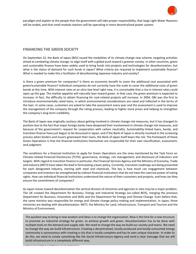

paradigm and explain to the people that the government will take proper responsibility, that large Light Water Reactors will be ended, and that small module reactors will be operating in more decentralized power system.

#### **FINANCING THE GREEN SOCIETY**

On September 22, the Bank of Japan (BOJ) issued the modalities of its climate change new scheme, targeting activities aimed at combating climate change, to align itself with a global push toward a greener society. In other countries, green and sustainable finance have been widely used to bring funds into projects and technologies for decarbonization, but what is the status of demand for such funds in Japan? What criteria are required to implement sustainable finance? What is needed to make this a facilitator of decarbonizing Japanese industry and society?

Is there a green premium for companies? Is there an economic benefit to cover the additional cost associated with green/sustainable finance? Individual companies do not currently have the scale to cover the additional costs of green bonds at this time. With interest rates at an ultra-low level right now, it is conceivable that a rise in interest rates could open up this gap. The market appetite will naturally lean toward green. In that case, the green premium is expected to increase. In fact, the difficulty to obtain financing for coal-related projects will increase. In 2004, DBJ was the first to introduce environmentally rated loans, in which environmental considerations are rated and reflected in the terms of the loan. In some cases, customers are asked to take the assessment every year and the assessment is used to improve the management of the company through the rating process, leading to higher stock prices and helping to strengthen the company's long-term credibility.

The Bank of Japan was originally cautious about getting involved in climate change risk measures, but it has changed its position due to the fact that major foreign banks have deepened their involvement in climate change risk measures, and because of the government's request for cooperation with carbon neutrality. Sustainability-linked loans, bonds, and transition finance have just begun to be discussed in Japan, and if the Bank of Japan is directly involved in the screening process when lenders and issuers greenwash their loans, the Bank of Japan itself bears the risk. The framework of these Green Operations is that the financial institutions themselves are responsible for their own classification, assessment, and judgment.

The conditions for a financial institution to apply for Green Operations are the ones mentioned by the Task Force on Climate-related Financial Disclosures (TCFD): governance, strategy, risk management, and disclosure of indicators and targets. With regard to transition finance in particular, the Financial Services Agency and the Ministry of Economy, Trade and Industry (METI) have taken the lead in formulating a basic policy. Currently, transition roadmaps are being presented for each designated industry, starting with steel and chemicals. The key is how much can engagement between companies and investors be strengthened by indirect financial institutions that do not have the coercive power of voting rights. How can individual financial institutions understand the nature of their customers and projects, and how can they ensure the commitment of companies?

As Japan moves toward decarbonization the vertical division of ministries and agencies in silos may be a major problem. The UK created the Department for Business, Energy and Industrial Strategy (so-called BEIS), merging the previous Department for Business, Innovation and Skills and the Department for Energy and Climate Change. Even before that, the same ministry was responsible for energy and climate change policy-making and implementation. In Japan, three ministries are dealing with decarbonization: METI, the Ministry for Land, Infrastructure, Transport and Tourism and the Ministry of Environment.

The quickest way to bring in new wisdom and ideas is to change the organization. Now is the time for a new structure to promote an industrial strategy for green, to achieve growth and green. Decarbonization has to be done with multiple tools on the demand and supply side. We need to change the way we build our society and towns. We need to change the way we build infrastructure. Creating a decentralized, locally-produced and locally-consumed energy community is synonymous with creating a city that is locally complete and has its own unique character. In order to do this, we need to create something like the Social Infrastructure Agency and send a clear message that we will build infrastructure in a completely different way.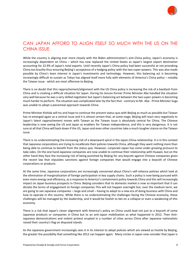

## CAN JAPAN AFFORD TO ALIGN ITSELF SO MUCH WITH THE US ON THE CHINA ISSUE

While the country is aligning ever more closely with the Biden administration's anti-China policy, Japan's economy is increasingly dependent on China – which has now replaced the United States as Japan's largest export destination accounting for 22.9% of Japan's total exports. Until recently Japan's China policy had been successful at not provoking China too brashly thus ensuring Beijing's acceptance of a hedging policy with the two super-powers. This was also made possible by China's keen interest in Japan's investments and technology. However, this balancing act is becoming increasingly difficult to sustain as Tokyo has aligned itself more fully with elements of America's China policy – notably the Taiwan issue - which are most offensive to Beijing.

There is no doubt that this rapprochement/alignment with the US China policy is increasing the risk of a backlash from China and is creating a difficult situation for Japan. During his tenure former Prime Minister Abe handled the situation very well because he was a very skilled negotiator but Japan's balancing act between the two super-powers is becoming much harder to perform. The situation was complicated later by the fact that - contrary to Mr. Abe - Prime Minister Suga was unable to adopt a piecemeal approach towards China.

Prime Minister Kishida will try and hope to continue the present status quo with Beijing as much as possible but Taiwan has re-emerged again as a central issue and it is almost certain that, at some stage, Beijing will react very negatively to Japan's latest rapprochement moves with Taiwan as the Taiwan issue is absolutely central for China. The Chinese leadership is now seeing the US and Japan as enablers for Taiwan independence, and this is very dangerous. It is not sure at all that China will back down if the US, Japan and even other countries take a much tougher stance on the Taiwan issue.

There is no underestimating the increasing risk of a downward spiral in the Japan-China relationship. It is in this context that Japanese corporations are trying to recalibrate their policies towards China, although they want nothing more than being able to continue to benefit from the status quo. However, corporate Japan has come under growing pressure to take sides. On the one hand Japanese companies are now unable to continue their relationship with Huawei, but on the other hand they face the increasing risk of being punished by Beijing for any boycott against Chinese companies given the recent law that stipulates sanctions against foreign companies that would engage into a boycott of Chinese corporations or products.

At the same time, Japanese corporations are increasingly concerned about China's self-reliance policies which look at the elimination of marginalization of foreign participation in key supply chains. Such a policy is now being pursued with even more energy and efficiency, as a response to America's containment policy towards China and this will increasingly impact on Japan business prospects in China. Beijing considers that its domestic market is now so important that it can dictate the terms of engagement to foreign companies This will not happen overnight but, over the medium term, we are going to see Japanese companies – large and small – having to adapt to a new era of doing business with China and how to operate in this country. While there is no underestimating the challenges facing the Chinese economy, these challenges will be managed by the leadership, and it would be foolish to bet on a collapse or even a weakening of this economy.

There is a risk that Japan's closer alignment with America's policy on China could lead not just to a boycott of some Japanese products or companies in China but to an anti-Japan mobilization as what happened in 2012. Then Anti-Japanese demonstrations and violent protest erupted in a number of cities across China after Japanese nationalists raised their country's flag on disputed islands.

As the Japanese government increasingly sees it in its interest to adopt policies which are viewed as hostile by Beijing, the greater the possibility that something like 2012 can happen again. Many circles in Japan now consider that Japan is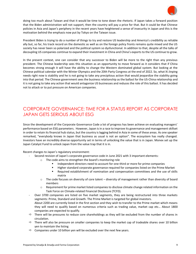

doing too much about Taiwan and that it would be time to tone down the rhetoric. If Japan takes a forward position that the Biden administration will not support, then the country will pay a price for that. But it could be that Chinese policies in Asia and Japan's periphery in the recent years have heightened a sense of insecurity in Japan and this is the motivation behind the emphasis now put by Tokyo on the Taiwan issue.

President Biden is trying to do a number of things to try and restore US leadership and America's credibility as reliable ally but, so far, his track record on the domestic as well as on the foreign policy fronts remains quite mixed and the US society has never been so polarized and the political system so dysfunctional. In addition to that, despite all the talks of decoupling US companies continue to expand their investment in China and China's exports to the US continue to grow.

In the present context, one can consider that any successor to Biden will be more to the right than any previous president. The Chinese leadership sees this situation as an opportunity to move forward as it considers that if China becomes strong enough it will have the ability to change the Western dominated global system. But looking at the Chinese political calendar with the Winter Olympics and the 20th Party Congress at the end of 2022. So, what Xi Jinping needs right now is stability and he is not going to take any precipitous action that would jeopardize the stability going into that period. The Chinese government sees the business relationship as the ballast for the US-China relationship and it is not going to take any action that would antagonize US businesses and reduces the role of this ballast. It has decided not to attack or to put pressure on American companies.

## CORPORATE GOVERNANCE: TIME FOR A STATUS REPORT AS CORPORATE JAPAN GETS SERIOUS ABOUT ESG

Since the development of the Corporate Governance Code a lot of progress has been achieve on evaluating managers' performance based on ESG parameters. However, Japan is in a race to improve its governance and management skillset in order to retain its financial hub status, but the country is lagging behind in Asia in some of these areas. As one speaker remarked, "everybody knows in Japan that business as usual is not an option". The ecosystem has really changed. Investors have an incredibly diverse opportunity set in terms of unlocking the value that is in Japan. Monex set up the Japan Catalyst Fund to unlock Japan from the value trap that it is in.

Recent changes to Japan's regulatory environment:

- Second revision of Japan's corporate governance code in June 2021 with 3 important elements:
	- o The code aims to strengthen the board's monitoring role
		- Independent directors need to account for one-third or more for prime companies
		- **■** Higher standard corporate governance required for companies listed on the Prime Market
		- Required establishment of nomination and compensation committees and the use of skills matrix
	- $\circ$  The code focuses on diversity of core talent diversity of management rather than diversity of board members
	- $\circ$  Requirement for prime market listed companies to disclose climate change related information on the Task Force on Climate-related Financial Disclosure (TCFD).
- Over 3700 companies are listed on five market segments, they are being restructured into three markets segments: Prime, Standard and Growth. The Prime Market is targeted for global investors. About 2200 are currently listed in the first section and they wish to transfer to the Prime market which means they will need to qualify based on numerous criteria such as trading value, market cap etc… About 1800 companies are expected to qualify.
- $\Rightarrow$  There will be pressures to reduce core shareholdings as they will be excluded from the number of shares in circulation.
- $\Rightarrow$  There will also be pressure on smaller companies to keep the market cap of tradeable shares over 10 billion yen to maintain the listing
- $\Rightarrow$  Companies under 10 billion yen will be excluded over the next few years.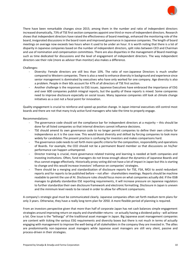

There have been remarkable changes since 2015; among them in the number and ratio of independent directors increased dramatically, 73% of TSE first section companies appoint one third or more of independent directors. Research shows that independent directors have raised the effectiveness of board meetings, enhanced the monitoring role of the board, invigorated discussions in the board room and improved governance in Japanese companies. The length of board meetings on average now exceeds two hours when it used to be under an hour. It is worth noting that there is a lot of disparity in Japanese companies based on the number of independent directors, split roles between CEO and Chairman and use of nomination and compensation committees. There are also disparities in the management of Board meetings such as time dedicated for discussions and the level of engagement of independent directors. The way independent directors see their role (more as advisor than monitor) also makes a difference.

#### Challenges:

- Diversity: Female directors are still less than 10%. The ratio of non-Japanese Directors is much smaller compared to Western companies. There is also a need to enhance diversity in background and experience since senior management is dominated by executives who have only worked for one company. Age diversity is also a problem. People in their 60s account for 47% of all directors of TSE first section.
- Another challenge is the responses to ESG issues. Japanese Executives have embraced the importance of ESG and over 600 companies publish integral reports, but the quality of these reports is mixed. Some companies need to improve disclosure especially on social issues. Many Japanese companies still look at climate change initiatives as a cost not a focal point for innovation.

Quality engagement is crucial to reinforce and speed up positive change. In Japan internal executives still control most boards and there are not that many truly active fund managers who take the time to properly engage.

#### Recommendations:

- The governance code should set the compliance bar for independent directors at a majority  $-$  this should be done for all listed companies so that internal directors cannot influence decisions.
- TSE should amend its own governance code to no longer permit companies to define their own criteria for independence as it is the case now. This would boost diversity and skillset by forcing companies to look more widely for candidates The present practice is confusing for investors and makes comparisons hard.
- The governance code needs to set forth more specific criteria for the composition, responsibility and operations of Boards. For example, the CEO should not be a permanent Board member so that discussions on his/her performance can happen unhampered.
- Director training is crucial, more governance related training and learning is needed at both companies and investing institutions. Often, fund managers do not know enough about the dynamics of Japanese Boards and thus cannot engage effectively. Historically proxy voting did not have a lot of impact in Japan but this is starting to change and this would increase investors' influence on companies' strategies.
- There should be a merging and standardization of disclosure reports for TSE, FSA, MOJ to avoid redundant reports and for reports to be published before – not after - shareholders meetings. Reports should be machine readable to permit the use of AI. Disclosure rules should focus more on what companies actually did. If the ISSB manages to globally standardize ESE reporting requirements, it will increase pressure on Japanese regulators to further standardize their own disclosure framework and electronic formatting. Disclosure in Japan is uneven and the minimum level needs to be raised in order to allow for efficient comparisons.

A company's strategic goal must be communicated clearly. Japanese companies often set forth medium term plans for only 3 years. Otherwise, they have a really long-term plan for 2050. A more flexible period of planning is required.

From an investors perspective given that more than half of corporate Japan has net cash balances simple engagement strategies around improving return on equity and shareholder returns - or actually having a dividend policy - will achieve a lot. One issue is the "lethargy" of the traditional asset manager in Japan. Big Japanese asset management companies are content with ticking the various ESG requirements and diversity boxes but there is not much in terms of actually engaging with management to improve the well-being of all stakeholders in the company they are invested in. The allies are predominantly non-Japanese asset managers while Japanese asset managers are still very silent, passive and process-driven in their strategies.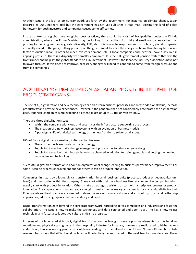

Another issue is the lack of policy framework set forth by the government, for instance on climate change. Japan declared its 2050 net-zero goal but the government has not yet published a road map. Missing this kind of policy framework for both investors and companies causes some difficulties.

In the context of a global race for global best practices, there could be a risk of backpaddling under the Kishida administration, where the Prime Minister may be looking for exceptions for mid and small companies rather than pushing for better governance, greater diversity, ESG, etc… It is crucial to keep momentum. In Japan, global companies are really ahead of the pack, putting pressure on the government to solve the energy problem, threatening to relocate factories outside Japan in order to meet investors demand, etc). Global companies and investors have a key role in applying pressure. There is a disparity with smaller companies. It is the JPIF, government pension system that was the front runner and help set the global standard on ESG investment. However, the Japanese industry associations have not followed through. If this does not improve, necessary changes will need to continue to come from foreign pressure and from big companies.

## ACCELERATING DIGITALIZATION AS JAPAN PRIORITY IN THE FIGHT FOR PRODUCTIVITY GAINS

The use of AI, digitalization and new technologies can transform business processes and create additional value, increase productivity and provide new experiences. However, if the pandemic had not considerably accelerated the digitalization pace, Japanese companies were expecting a potential loss of up to 12 trillion yen by 2025.

There are three digitalization steps:

- Within the company with cloud and security as the infrastructure supporting the process
- **•** The creation of a new business ecosystems with an evolution of business models
- A paradigm shift with digital technology as the new frontier to solve social issues.

87% of Dx, or digital transformation, initiatives fail because:

- There is too much emphasis on the technology
- People fail to realize that a change management process has to bring everyone along
- People fail to realize that mindsets have to be changed in addition to training people and getting the needed knowledge and technology.

Successful digital transformation is about an organizational change leading to business performance improvement. For some it can be process improvement and for others it can be product innovation.

Companies first start by piloting digital transformation in small business units (process, product or geographical unit level) and then scaling within the company. Some start with their core business like retail or service companies which usually start with product innovation. Others make a strategic decision to start with a periphery process or product innovation. Are corporations in Japan ready enough to make the necessary adjustments for successful digitalization? Role models and best practices are needed to show the way with success stories and a mix of top down and bottom-up approaches, addressing Japan's unique specificity and needs.

Digital transformation goes beyond the corporate framework, spreading across companies and industries and fostering collaboration. The issue is how to make the technology and data connected and open to all. The key is how to use technology and foster a collaborative culture critical to progress.

In terms of the labor market impact, digital transformation has brought in some positive elements such as handling repetitive and physically taxing tasks. In the hospitality industry for instance, humans are reallocated to higher valueadded tasks, hence increasing productivity while not leading to an overall reduction of hires. Nomura Research Institute research has shown that 49% of work in Japan will potentially be automated in the next two to three decades. These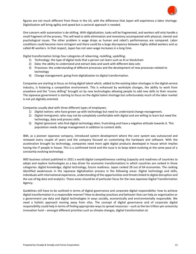

figures are not much different from those in the US, with the difference that Japan will experience a labor shortage. Digitalization will bring agility and speed but a sectoral approach is needed.

One concern with automation is de-skilling. With digitalization, tasks will be fragmented, and workers will only handle a small fragment of the process. This will lead to skills elimination and monotony accompanied with physical, mental and psychological issues. The other problem is wage drops as human and robot's performances are compared. Labor conditions could become more stringent and there could be a large discrepancy between highly skilled workers and so called 4K workers. In that respect, Japan has not seen wage increases in a long time.

Digital transformation brings four categories of relearning, reskilling, upskilling:

- 1) Technology: the type of digital tools that a person can learn such as AI or blockchain
- 2) Data: the ability to understand and extract data and work with different data sets
- 3) Processes: the understanding of different processes and the development of new processes related to technology
- 4) Change management: going from digitalization to digital transformation.

Companies are starting to focus on hiring digital talent which, added to the existing labor shortages in the digital service industry, is fostering a competitive environment. This is enhanced by workstyle changes, the ability to work from anywhere and the "cross skilling" brought on by new technologies allowing people to add new skills to their resume. The Japanese government is starting to focus on the digital talent shortage but unfortunately much of the labor market is not yet digitally oriented.

Companies usually deal with three different types of employees:

- 1) *Digital natives*: who have grown up with technology but need to understand change management.
- 2) *Digital immigrants*: who may not be completely comfortable with digital and are willing to learn but need the technology, data and process skills.
- 3) *Digital ignoranst*: who find digital technology alien, frustrating and have a negative attitude towards it. This population needs change management in addition to content skills.

IBM, as a pioneer Japanese company, introduced system development where the core system was outsourced and renewed every couple of years and the company focused on customizing the hardware and software. With the acceleration brought by technology, companies need more agile digital products developed in house which implies having the IT people in house. This is a confirmed trend and the issue is to keep talent evolving at the same pace of a constantly evolving technology.

IMD business school published in 2021 a world digital competitiveness ranking (capacity and readiness of countries to adopt and explore technologies as a key driver for economic transformation) in which countries are ranked in three categories: digital knowledge, digital technology, future readiness. Japan ranked 28 out of 64 economies. The ranking identified weaknesses in the Japanese digitalization process in the following areas: Digital technology and skills, individuals with international experience, understanding of the opportunities and threats linked to digital disruption and the use of big data and analytics. These areas should be of particular focus for the new Japanese Digital Transformation Agency.

Guidelines still have to be outlined in terms of digital governance and corporate digital responsibility: how to achieve digital transformation in a responsible manner? How to develop practices and behavior that can help an organization or a government use data and digital technologies in ways socially, economically and environmentally responsible. We need a holistic approach moving away from silos. The concept of digital governance and of corporate digital responsibility could help in terms of finding appropriate ways to spread resources – such as the ten trillion yen university innovation fund – amongst different priorities such as climate changes, digital transformation et.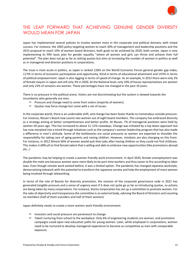

## THE LEAP FORWARD THAT ACHIEVING GENUINE GENDER DIVERSITY WOULD MEAN FOR JAPAN

Japan has implemented several policies to involve women more in the corporate and political domains with mixed success. For instance, the 2003 policy targeting women to reach 30% of management and leadership positions and the 2015 proposal to reach 10% of women board directors, both goals to be achieved by 2020, both unmet. Japan is now implementing its fifth basic plan for gender equality "where all women and girls can thrive and achieve their full potential". The plan does not go as far as setting quotas but aims at increasing the number of women in politics as well as in managerial and director positions in corporations.

The issue is most acute in politics, as Japan is ranked 120th on the World Economic Forum general gender gap index, 117th in terms of economic participation and opportunity, 92nd in terms of educational attainment and 147th in terms of political empowerment. Japan is also lagging in terms of speed of change. As an example, in 2012 there were only 2% of female mayors in Japan and still only 3% in 2020. At the National level, only 10% of house representatives are women and only 23% of senators are women. These percentages have not changed in the past 10 years.

There is no pressure in the political arena. Voters are not discriminating but the system is skewed towards the incumbents who generally are men.

- $\Rightarrow$  Pressure and change need to come from voters (majority of women).
- $\Rightarrow$  Quotas may force change but come with a set of issues.

In the corporate world, there is an undeniable shift, and change has been faster thanks to tremendous outside pressure. For instance, Nissan's Board now counts two women out of eight board members. The company has embraced diversity as a strategy aiming at better competitiveness and better profits. At Nissan, 7% of managerial positions were held by women 20 years ago. This has increased to about 11-12% nowadays. Change was initiated by a top down approach but has now morphed into a trend through initiatives such as the company's women leadership program that has also made a difference in men's attitude. Some of the bottlenecks are social pressures as women are expected to shoulder the responsibility for taking care of aging parents and raising children. However, mindsets are also changing on this front. For instance, in 2012 Almost 60% of women would quit their jobs after having children as they could not find childcare. This makes it difficult to find female talent that is willing and able to embrace new opportunities (like promotions abroad etc…)

The pandemic may be helping to create a women friendly work environment. In April 2020, female unemployment was double the male one because women were more likely to be part-time workers and thus easier to fire according to labor laws. Even though remote work existed before, it was a limited option. The pandemic has changed Japanese workstyle, democratizing telework with the potential to transform the Japanese society and help the employment of more women being involved through teleworking.

In terms of the role of Boards for diversity promotion, the revision of the corporate governance code in 2021 has generated tangible pressure and a sense of urgency even if it does not quite go as far as introducing quotas, so actions are being taken by many corporations. For instance, Itochu Corporation has set up a committee to promote women. For the sake of objectivity and transparency the committee is an external body, advising the Board of Directors and counting six members (half of them outsiders and half of them women).

Japan definitely needs to create a more women work friendly environment:

- $\Rightarrow$  Investors and social pressure are paramount to change
- $\Rightarrow$  Talent nurturing from school to the workplace: Only 6% of engineering students are women, and promotion campaigns could open new education paths for young women. Later, while employed in corporations, women need to be nurtured to develop managerial experience to become as competitive as men with comparable exposure.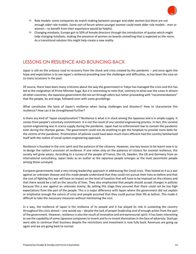

- $\Rightarrow$  Role models: some companies do match-making between younger and older women but there are not enough older role models. Some sort of forum where younger women could meet older role models - men or women – to benefit from their experience would be helpful.
- $\Rightarrow$  Changing mindsets: Europe got to 50% of female directors through the introduction of quotas which might help changing mindsets, making the presence of women on boards something that is expected as the norm. As a transitional solution this might help create a new reality.

## LESSONS ON RESILIENCE AND BOUNCING BACK

Japan is still on the arduous road to recovery from the shock and crisis created by the pandemic – and once again the hope and expectation is to see Japan's resilience prevailing over the challenges and difficulties, as has been the case on so many occasions in the past.

Of course, there have been many criticisms about the way the government in Tokyo has managed the crisis and this has led to the resignation of Prime Minister Suga. But it is interesting to note that, contrary to what was the cases in almost all other countries, the Japanese government did not act through edicts but rather proceeding with "recommendations" that the people, by and large, followed even with some grumblings.

What constitutes the basis of Japan's resilience when facing challenges and disasters? How to characterize this resilience? How can it be strengthened further?

Is there any kind of "Japan exceptionalism"? Resilience is what is in stock among the Japanese and is in ample supply. It comes from people's voluntary commitment. It is not the result of any societal engineering process. In fact, this societal system engineering was in scarce supply during the pandemic. Japan had no enforcement law to contain the pandemic even during the Olympic games. The government could not do anything to get the hospitals to provide more beds for the victims of the pandemic. Prioritization of policies could have been much more efficient had the country familiarized itself with the notion of social system engineering approach.

Resilience is founded in the civic spirit and the patience of the citizenry. However, one key lesson to be learnt now is to re-design the nation's provision of resilience. If one relies only on the patience of citizens for societal resilience, the society will grow weary. According to a survey of the people of France, the US, Sweden, the UK and Germany from an international consultancy, Japan looks as an outlier as the Japanese people emerges as the most pessimistic people among those surveyed.

European governments took a very strong leadership approach in addressing the Covid crisis. They looked at it as a war against an unknown disease and this made people understand that they could not pursue their lives as before and that the cost of fighting this war will have an impact on the level of taxation that will have to be imposed on the citizens and that there would be a toll on the security of lives. They also emphasized that people should accept changes in policies because this a war against an unknown enemy. By setting this stage they ensured that there could not be too high expectations from the part of the people. This is a major difference with Japan where the government did not explain or emphasize enough the nature of crisis and people assumed that they could pursue their life as before. This made it difficult to take the necessary measures without mentioning the cost.

In a way, the resilience of Japan is the resilience of its people and it has played its role in sustaining the country throughout the crisis almost – one would say – despite the lack of proper leadership and of enough action from the part of the government. However, resilience is also the result of innovative and entrepreneurial spirit. It has been interesting to see the capability of some Japanese companies to invent and to re-invent themselves in the face of adversity. Startups were able to continue their business despite the restrictions and investment is now fully back. Revenues are going up again and we are going back to normal.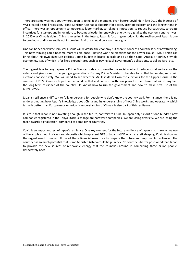

There are some worries about where Japan is going at the moment. Even before Covid hit in late 2019 the increase of VAT created a small recession. Prime Minister Abe had a blueprint for action, great popularity, and the longest time in office. There was an opportunity to modernize labor market, to rekindle innovation, to reduce bureaucracy, to create incentives for startups and innovation, to become a leader in renewable energy, to digitalize the economy and to invest in 2025 – as China is doing. China is investing in the future, Japan is focusing on today. So, the resilience of Japan is due to previous conditions and is not improving. And this should be a warning signal.

One can hope that Prime Minister Kishida will revitalize the economy but there is concern about the lack of new thinking. This new thinking could become more visible once – having won the elections for the Lower House - Mr. Kishida can bring about his own signature policies. Japan budget is bigger in scale and size than Saudi Arabia or Turkey's whole economies. 73% of which is for fixed expenditures such as paying back government's obligations, social welfare, etc.

The biggest task for any Japanese Prime Minister today is to rewrite the social contract, reduce social welfare for the elderly and give more to the younger generations. For any Prime Minister to be able to do that he, or she, must win elections consecutively. We will need to see whether Mr. Kishida will win the elections for the Upper House in the summer of 2022. One can hope that he could do that and come up with new plans for the future that will strengthen the long-term resilience of the country. He knows how to run the government and how to make best use of the bureaucracy.

Japan's resilience is difficult to fully understand for people who don't know the country well. For instance, there is no underestimating how Japan's knowledge about China and its understanding of how China works and operates – which is much better than European or American's understanding of China - is also part of this resilience.

It is true that Japan is not investing enough in the future, contrary to China. In Japan only six out of one hundred new companies registered in the Tokyo Stock Exchange are hardware companies. We are losing diversity. We are losing the race towards digitalization, compared to some other countries.

Covid is an important test of Japan's resilience. One key element for the future resilience of Japan is to make active use of the ample amount of cash and deposits which represent 40% of Japan's GDP which are left sleeping. Covid is showing the urgent need to make full use of these financial resources to prepare the future and improve its resilience. The country has so much potential that Prime Minister Kishida could help unlock. No country is better positioned than Japan to provide the new sources of renewable energy that the countries around it, comprising three billion people, desperately need.